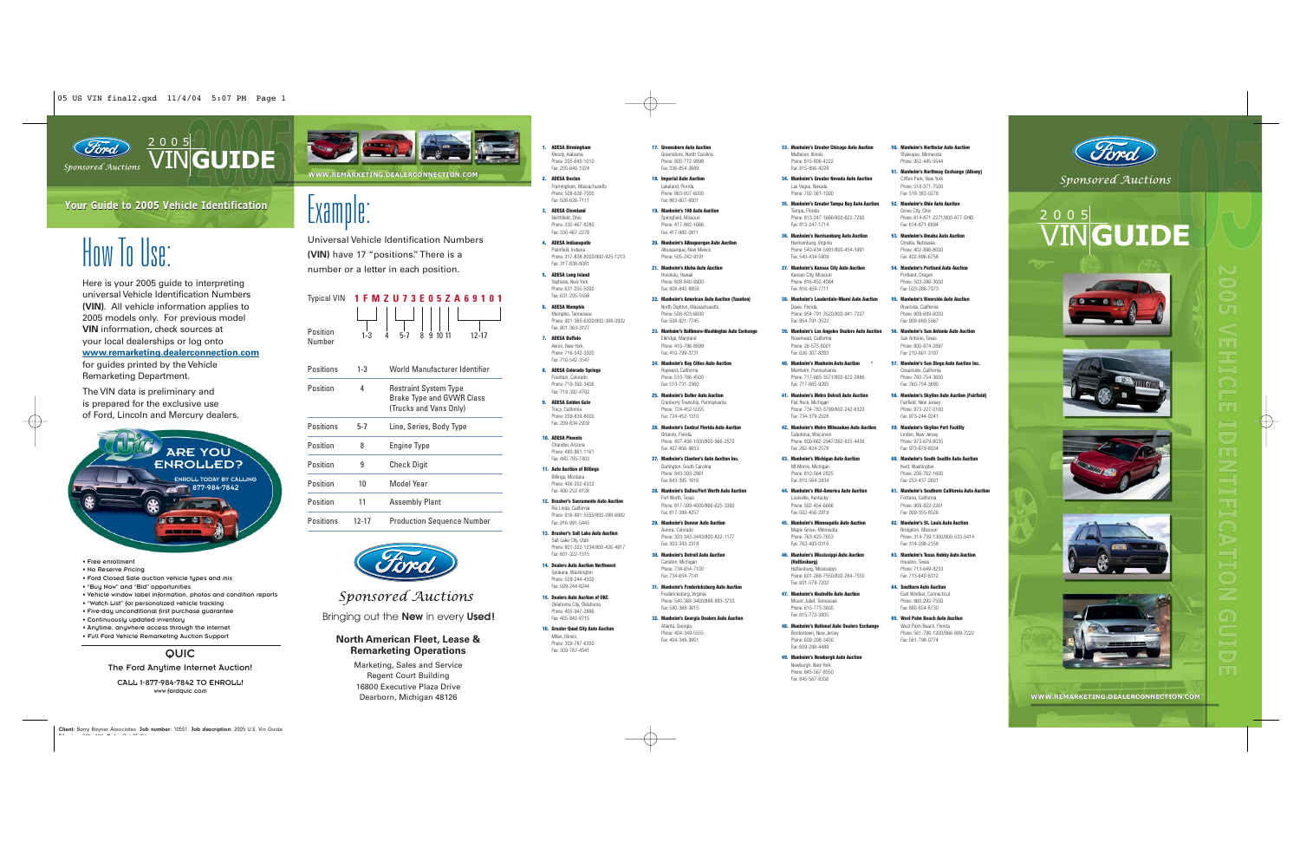

## VIN**GUIDE**

### **Your Guide to 2005 Vehicle IdentificationGuide 2005 Vehicle**

# How In Use:

Here is your 2005 guide to interpreting universal Vehicle Identification Numbers**(VIN)**. All vehicle information applies to 2005 models only. For previous model **VIN** information, check sources at your local dealerships or log onto **www.remarketing.dealerconnection.com** for guides printed by the Vehicle Remarketing Department.

The VIN data is preliminary and is prepared for the exclusive use of Ford, Lincoln and Mercury dealers.



• Free enrollment

- No Reserve Pricing
- Ford Closed Sale auction vehicle types and mix
- "Buy Now" and "Bid" opportunities • Vehicle window label information, photos and condition reports
- "Watch List" for personalized vehicle tracking
- Five-day unconditional first purchase guarantee
- Continuously updated inventory
- Anytime, anywhere access through the internet • Full Ford Vehicle Remarketing Auction Support
- 

### **QUIC**

### The Ford Anytime Internet Auction!

CALL 1-877-984-7842 TO ENROLL!www.fordquic.com



# $2$ xamp

Universal Vehicle Identification Numbers**(VIN)** have 17 "positions." There is a number or a letter in each position.

### Typical VIN **1FMZU73E05ZA69101**



| Positions | $1-3$   | World Manufacturer Identifier                                                              |
|-----------|---------|--------------------------------------------------------------------------------------------|
| Position  | 4       | <b>Restraint System Type</b><br><b>Brake Type and GVWR Class</b><br>(Trucks and Vans Only) |
| Positions | $5 - 7$ | Line, Series, Body Type                                                                    |
| Position  | 8       | Engine Type                                                                                |
| Position  | 9       | <b>Check Digit</b>                                                                         |
| Position  | 10      | Model Year                                                                                 |
| Position  |         | Assemblv Plant                                                                             |





Sponsored Auctions

Bringing out the **New** in every **Used!**

### **North American Fleet, Lease & Remarketing Operations**

Marketing, Sales and Service Regent Court Building 16800 Executive Plaza DriveDearborn, Michigan 48126

**1. ADESA Birmingham** Moody, Alabama Phone: 205-640-1010Fax: 205-640-1024

**2. ADESA Boston**Framingham, Massachusetts Phone: 508-626-7000Fax: 508-626-7111

**3. ADESA Cleveland**Northfield, Ohio Phone: 330-467-8280

- Fax: 330-467-2278**4. ADESA Indianapolis** Plainfield, Indiana Phone: 317-838-8000/800-925-1210
- Fax: 317-838-8081**5. ADESA Long Island** Yaphank, New York Phone: 631-205-5000

Fax: 631-205-5508**6. ADESA Memphis** Memphis, Tennessee

- Phone: 901-365-6300/800-388-0932 Fax: 901-363-3127**7. ADESA Buffalo**Akron, New York
- Phone: 716-542-3300Fax: 716-542-3547
- **8. ADESA Colorado Springs** Fountain, Colorado Phone: 719-392-3406Fax: 719-392-4702

**9. ADESA Golden Gate**Tracy, California Phone: 209-839-8000 Fax: 209-834-2939

- **10. ADESA Phoenix** Chandler, Arizona Phone: 480-961-1161Fax: 480-785-7403
- **11. Auto Auction of Billings** Billings, Montana Phone: 406-252-6332Fax: 406-252-8126

**12. Brasher's Sacramento Auto Auction**Rio Linda, California

Phone: 916-991-5555/800-288-6882Fax: 916-991-5445

```
13. Brasher's Salt Lake Auto AuctionSalt Lake City, Utah
```
Phone: 801-322-1234/800-426-4817Fax: 801-322-1315

- **14. Dealers Auto Auction Northwest** Spokane, Washington Phone: 509-244-4500Fax: 509-244-8244
- **15. Dealers Auto Auction of OKC**Oklahoma City, Oklahoma Phone: 405-947-2886Fax: 405-942-8715
- **16. Greater Quad City Auto Auction**
- Milan, Illinois Phone: 309-787-6300Fax: 309-787-4541
- **33. Manheim's Greater Chicago Auto Auction** Matteson, Illinois Phone: 815-806-4222
	- Fax: 815-806-4228Las Vegas, Nevada

- **20. Manheim's Albuquerque Auto Auction**
	- Phone: 816-452-4084
- **22. Manheim's American Auto Auction (Taunton)** North Dighton, Massachusetts Phone: 508-823-6600Fax: 508-821-7745
- **23. Manheim's Baltimore-Washington Auto Exchange** Elkridge, Maryland Phone: 410-796-8899Fax: 410-799-3731
- **24. Manheim's Bay Cities Auto Auction** Hayward, California Phone: 510-786-4500Fax: 510-731-2360

**17. Greensboro Auto Auction**Greensboro, North Carolina Phone: 800-772-9898Fax: 336-854-2689**18. Imperial Auto Auction** Lakeland, Florida Phone: 863-607-6000Fax: 863-607-6001**19. Manheim's 166 Auto Auction**Springfield, Missouri Phone: 417-882-1666Fax: 417-882-0811

Albuquerque, New Mexico Phone: 505-242-9191**21. Manheim's Aloha Auto Auction**Honolulu, Hawaii Phone: 808-840-8900Fax: 808-840-8959

**25. Manheim's Butler Auto Auction** Cranberry Township, Pennsylvania Phone: 724-452-5555Fax: 724-452-1310

**26. Manheim's Central Florida Auto Auction**Orlando, Florida Phone: 407-438-1000/800-966-2570Fax: 407-856-9653

```
27. Manheim's Clanton's Auto Auction Inc.
Darlington, South Carolina
Phone: 843-393-2861
Fax: 843-395-1616
```
**28. Manheim's Dallas/Fort Worth Auto Auction**Phone: 817-399-4000/866-625-3392

- Fax: 817-399-4257**29. Manheim's Denver Auto Auction**Phone: 303-343-3443/800-822-1177
- Fax: 303-343-2318**30. Manheim's Detroit Auto Auction**
- Phone: 734-654-7100Fax: 734-654-7141

Fort Worth, Texas

Aurora, Colorado

Fredericksburg, Virginia Fax: 540-368-3615

- Atlanta, Georgia
- Phone: 404-349-5555Fax: 404-349-9951

**51. Manheim's Northway Exchange (Albany)**

**34. Manheim's Greater Nevada Auto Auction**Phone: 702-361-1000

**35. Manheim's Greater Tampa Bay Auto Auction** Tampa, Florida

- Fax: 813-247-1714**36. Manheim's Harrisonburg Auto Auction** Harrisonburg, Virginia
- Fax: 540-434-5909**37. Manheim's Kansas City Auto Auction** Kansas City, Missouri

**39. Manheim's Los Angeles Dealers Auto Auction**

Fax: 816-459-7711**38. Manheim's Lauderdale-Miami Auto Auction**Davie, Florida Phone: 954-791-3520/800-941-7227Fax: 954-791-3522

> Rosemead, California Phone: 26-573-8001 Fax: 626-307-8283

Manheim, Pennsylvania Phone: 717-665-3571/800-822-2886

Fax: 262-824-2578

Fax: 763-493-0310

**(Hattiesburg)**

- - **40. Manheim's Manheim Auto Auction '**
		- Fax: 717-665-9265**41. Manheim's Metro Detroit Auto Auction**Flat Rock, Michigan Phone: 734-783-3799/800-242-6322
	- Fax: 734-379-2528**42. Manheim's Metro Milwaukee Auto Auction**Caledonia, Wisconsin Phone: 800-662-2947/262-835-4436
	- **43. Manheim's Michigan Auto Auction** Mt.Morris, Michigan
		- Phone: 810-564-2825Fax: 810-564-2834**44. Manheim's Mid-America Auto Auction**
		- Louisville, Kentucky Phone: 502-454-6666Fax: 502-456-2919
	- **45. Manheim's Minneapolis Auto Auction** Maple Grove, Minnesota Phone: 763-425-7653
- Carleton, Michigan
- **31. Manheim's Fredericksburg Auto Auction**
- Phone: 540-368-3400/888-883-3733
- **32. Manheim's Georgia Dealers Auto Auction**
- 

**61. Manheim's Southern California Auto Auction** Fontana, California Phone: 909-822-2261 Fax: 909-355-8528**62. Manheim's St. Louis Auto Auction**Bridgeton, Missouri

> Phone: 713-649-8233 Fax: 713-640-8312**64. Southern Auto Auction** East Windsor, Connecticut Phone: 860-292-7500 Fax: 860-654-8730**65. West Palm Beach Auto Auction**West Palm Beach, Florida Phone: 561-790-1200/866-889-7222Fax: 561-798-0774

> > **WWW.REMARKETING.DEALERCONNECTION.COM**

VIN**GUIDE**

Sponsored Auctions

2005

- **46. Manheim's Mississippi Auto Auction**  Phone: 314-739-1300/800-533-5414Fax: 314-298-2158**63. Manheim's Texas Hobby Auto Auction** Houston, Texas
- Hattiesburg, Mississipp Phone: 601-268-7550/800-264-7550
- Fax: 601-579-7202**47. Manheim's Nashville Auto Auction**Mount Juliet, Tennessee Phone: 615-773-3800
- Fax: 615-773-3805**48. Manheim's National Auto Dealers Exchange** Bordentown, New Jersey Phone: 609-298-3400
	- Fax: 609-298-4489**49. Manheim's Newburgh Auto Auction** Newburgh, New York Phone: 845-567-8550

Fax: 845-567-8356

Shakopee, Minnesota Phone: 952-445-5544

> Portland, Oregon Phone: 503-286-3000Fax: 503-286-7073**55. Manheim's Riverside Auto Auction**Riverside, California Phone: 909-689-6000Fax: 909-689-5567**56. Manheim's San Antonio Auto Auction**San Antonio, Texas Phone: 800-874-2897Fax: 210-661-3197**57. Manheim's San Diego Auto Auction Inc.** Oceanside, California Phone: 760-754-3600Fax: 760-754-3690

**58. Manheim's Skyline Auto Auction (Fairfield)** Fairfield, New Jersey Phone: 973-227-0100Fax: 973-244-0241 **59. Manheim's Skyline Port Facility** Linden, New Jersey Phone: 973-679-8035Fax: 973-679-8034**60. Manheim's South Seattle Auto Auction** Kent, Washington Phone: 206-762-1600Fax: 253-437-2601

**50. Manheim's Northstar Auto Auction**

Clifton Park, New York Phone: 518-371-7500Fax: 518-383-0278

Phone: 813-247-1666/800-622-7292**52. Manheim's Ohio Auto Auction**Grove City, Ohio Phone: 614-871-2271/800-477-OHIO

- Fax: 614-871-6894**53. Manheim's Omaha Auto Auction**Omaha, Nebraska
- Phone: 540-434-5991/800-454-5991Phone: 402-896-8000Fax: 402-896-6758**54. Manheim's Portland Auto Auction**